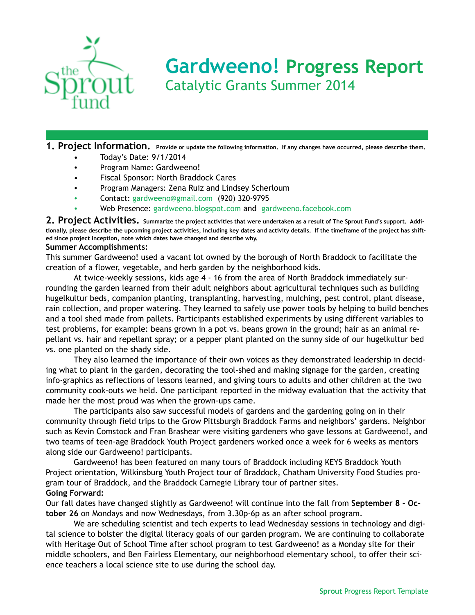

# **Gardweeno! Progress Report**  Catalytic Grants Summer 2014

**1. Project Information. Provide or update the following information. If any changes have occurred, please describe them.** 

- Today's Date: 9/1/2014
- Program Name: Gardweeno!
- Fiscal Sponsor: North Braddock Cares
- Program Managers: Zena Ruiz and Lindsey Scherloum
- Contact: [gardweeno@gmail.com](mailto:gardweeno@gmail.com) (920) 320-9795
- Web Presence: [gardweeno.blogspot.com](http://gardweeno.blogspot.com) and [gardweeno.facebook.com](http://gardweeno.facebook.com)

**2. Project Activities. Summarize the project activities that were undertaken as a result of The Sprout Fund's support. Additionally, please describe the upcoming project activities, including key dates and activity details. If the timeframe of the project has shifted since project inception, note which dates have changed and describe why.** 

## **Summer Accomplishments:**

This summer Gardweeno! used a vacant lot owned by the borough of North Braddock to facilitate the creation of a flower, vegetable, and herb garden by the neighborhood kids.

 At twice-weekly sessions, kids age 4 - 16 from the area of North Braddock immediately surrounding the garden learned from their adult neighbors about agricultural techniques such as building hugelkultur beds, companion planting, transplanting, harvesting, mulching, pest control, plant disease, rain collection, and proper watering. They learned to safely use power tools by helping to build benches and a tool shed made from pallets. Participants established experiments by using different variables to test problems, for example: beans grown in a pot vs. beans grown in the ground; hair as an animal repellant vs. hair and repellant spray; or a pepper plant planted on the sunny side of our hugelkultur bed vs. one planted on the shady side.

 They also learned the importance of their own voices as they demonstrated leadership in deciding what to plant in the garden, decorating the tool-shed and making signage for the garden, creating info-graphics as reflections of lessons learned, and giving tours to adults and other children at the two community cook-outs we held. One participant reported in the midway evaluation that the activity that made her the most proud was when the grown-ups came.

 The participants also saw successful models of gardens and the gardening going on in their community through field trips to the Grow Pittsburgh Braddock Farms and neighbors' gardens. Neighbor such as Kevin Comstock and Fran Brashear were visiting gardeners who gave lessons at Gardweeno!, and two teams of teen-age Braddock Youth Project gardeners worked once a week for 6 weeks as mentors along side our Gardweeno! participants.

 Gardweeno! has been featured on many tours of Braddock including KEYS Braddock Youth Project orientation, Wilkinsburg Youth Project tour of Braddock, Chatham University Food Studies program tour of Braddock, and the Braddock Carnegie Library tour of partner sites. **Going Forward:**

Our fall dates have changed slightly as Gardweeno! will continue into the fall from **September 8 - October 26** on Mondays and now Wednesdays, from 3.30p-6p as an after school program.

 We are scheduling scientist and tech experts to lead Wednesday sessions in technology and digital science to bolster the digital literacy goals of our garden program. We are continuing to collaborate with Heritage Out of School Time after school program to test Gardweeno! as a Monday site for their middle schoolers, and Ben Fairless Elementary, our neighborhood elementary school, to offer their science teachers a local science site to use during the school day.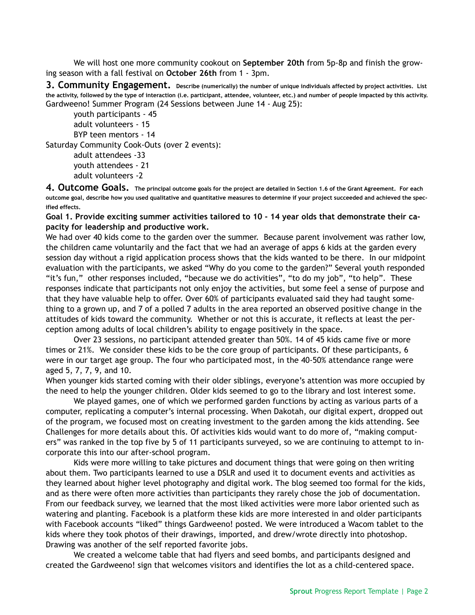We will host one more community cookout on **September 20th** from 5p-8p and finish the growing season with a fall festival on **October 26th** from 1 - 3pm.

**3. Community Engagement. Describe (numerically) the number of unique individuals affected by project activities. List the activity, followed by the type of interaction (i.e. participant, attendee, volunteer, etc.) and number of people impacted by this activity.**  Gardweeno! Summer Program (24 Sessions between June 14 - Aug 25):

 youth participants - 45 adult volunteers - 15 BYP teen mentors - 14 Saturday Community Cook-Outs (over 2 events): adult attendees -33

> youth attendees - 21 adult volunteers -2

**4. Outcome Goals. The principal outcome goals for the project are detailed in Section 1.6 of the Grant Agreement. For each outcome goal, describe how you used qualitative and quantitative measures to determine if your project succeeded and achieved the specified effects.** 

**Goal 1. Provide exciting summer activities tailored to 10 - 14 year olds that demonstrate their capacity for leadership and productive work.** 

We had over 40 kids come to the garden over the summer. Because parent involvement was rather low, the children came voluntarily and the fact that we had an average of apps 6 kids at the garden every session day without a rigid application process shows that the kids wanted to be there. In our midpoint evaluation with the participants, we asked "Why do you come to the garden?" Several youth responded "it's fun," other responses included, "because we do activities", "to do my job", "to help". These responses indicate that participants not only enjoy the activities, but some feel a sense of purpose and that they have valuable help to offer. Over 60% of participants evaluated said they had taught something to a grown up, and 7 of a polled 7 adults in the area reported an observed positive change in the attitudes of kids toward the community. Whether or not this is accurate, it reflects at least the perception among adults of local children's ability to engage positively in the space.

 Over 23 sessions, no participant attended greater than 50%. 14 of 45 kids came five or more times or 21%. We consider these kids to be the core group of participants. Of these participants, 6 were in our target age group. The four who participated most, in the 40-50% attendance range were aged 5, 7, 7, 9, and 10.

When younger kids started coming with their older siblings, everyone's attention was more occupied by the need to help the younger children. Older kids seemed to go to the library and lost interest some.

 We played games, one of which we performed garden functions by acting as various parts of a computer, replicating a computer's internal processing. When Dakotah, our digital expert, dropped out of the program, we focused most on creating investment to the garden among the kids attending. See Challenges for more details about this. Of activities kids would want to do more of, "making computers" was ranked in the top five by 5 of 11 participants surveyed, so we are continuing to attempt to incorporate this into our after-school program.

 Kids were more willing to take pictures and document things that were going on then writing about them. Two participants learned to use a DSLR and used it to document events and activities as they learned about higher level photography and digital work. The blog seemed too formal for the kids, and as there were often more activities than participants they rarely chose the job of documentation. From our feedback survey, we learned that the most liked activities were more labor oriented such as watering and planting. Facebook is a platform these kids are more interested in and older participants with Facebook accounts "liked" things Gardweeno! posted. We were introduced a Wacom tablet to the kids where they took photos of their drawings, imported, and drew/wrote directly into photoshop. Drawing was another of the self reported favorite jobs.

 We created a welcome table that had flyers and seed bombs, and participants designed and created the Gardweeno! sign that welcomes visitors and identifies the lot as a child-centered space.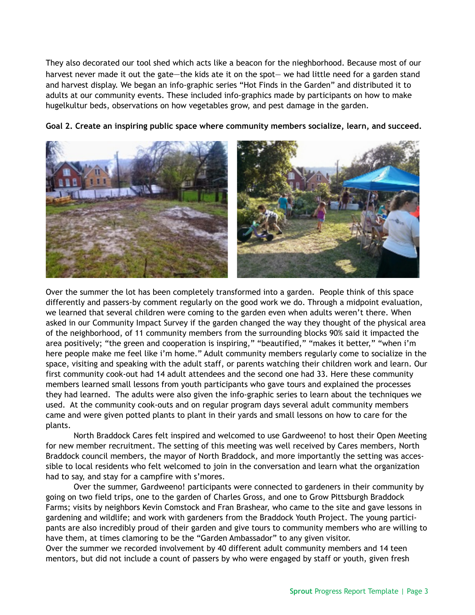They also decorated our tool shed which acts like a beacon for the nieghborhood. Because most of our harvest never made it out the gate—the kids ate it on the spot— we had little need for a garden stand and harvest display. We began an info-graphic series "Hot Finds in the Garden" and distributed it to adults at our community events. These included info-graphics made by participants on how to make hugelkultur beds, observations on how vegetables grow, and pest damage in the garden.



**Goal 2. Create an inspiring public space where community members socialize, learn, and succeed.**

Over the summer the lot has been completely transformed into a garden. People think of this space differently and passers-by comment regularly on the good work we do. Through a midpoint evaluation, we learned that several children were coming to the garden even when adults weren't there. When asked in our Community Impact Survey if the garden changed the way they thought of the physical area of the neighborhood, of 11 community members from the surrounding blocks 90% said it impacted the area positively; "the green and cooperation is inspiring," "beautified," "makes it better," "when i'm here people make me feel like i'm home." Adult community members regularly come to socialize in the space, visiting and speaking with the adult staff, or parents watching their children work and learn. Our first community cook-out had 14 adult attendees and the second one had 33. Here these community members learned small lessons from youth participants who gave tours and explained the processes they had learned. The adults were also given the info-graphic series to learn about the techniques we used. At the community cook-outs and on regular program days several adult community members came and were given potted plants to plant in their yards and small lessons on how to care for the plants.

 North Braddock Cares felt inspired and welcomed to use Gardweeno! to host their Open Meeting for new member recruitment. The setting of this meeting was well received by Cares members, North Braddock council members, the mayor of North Braddock, and more importantly the setting was accessible to local residents who felt welcomed to join in the conversation and learn what the organization had to say, and stay for a campfire with s'mores.

 Over the summer, Gardweeno! participants were connected to gardeners in their community by going on two field trips, one to the garden of Charles Gross, and one to Grow Pittsburgh Braddock Farms; visits by neighbors Kevin Comstock and Fran Brashear, who came to the site and gave lessons in gardening and wildlife; and work with gardeners from the Braddock Youth Project. The young participants are also incredibly proud of their garden and give tours to community members who are willing to have them, at times clamoring to be the "Garden Ambassador" to any given visitor.

Over the summer we recorded involvement by 40 different adult community members and 14 teen mentors, but did not include a count of passers by who were engaged by staff or youth, given fresh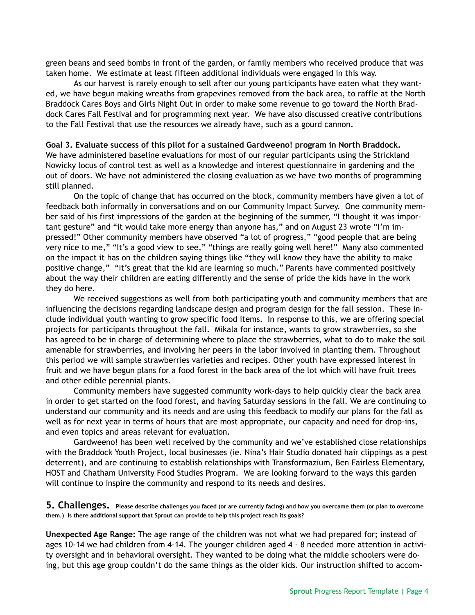green beans and seed bombs in front of the garden, or family members who received produce that was taken home. We estimate at least fifteen additional individuals were engaged in this way.

 As our harvest is rarely enough to sell after our young participants have eaten what they wanted, we have begun making wreaths from grapevines removed from the back area, to raffle at the North Braddock Cares Boys and Girls Night Out in order to make some revenue to go toward the North Braddock Cares Fall Festival and for programming next year. We have also discussed creative contributions to the Fall Festival that use the resources we already have, such as a gourd cannon.

#### **Goal 3. Evaluate success of this pilot for a sustained Gardweeno! program in North Braddock.**

We have administered baseline evaluations for most of our regular participants using the Strickland Nowicky locus of control test as well as a knowledge and interest questionnaire in gardening and the out of doors. We have not administered the closing evaluation as we have two months of programming still planned.

 On the topic of change that has occurred on the block, community members have given a lot of feedback both informally in conversations and on our Community Impact Survey. One community member said of his first impressions of the garden at the beginning of the summer, "I thought it was important gesture" and "it would take more energy than anyone has," and on August 23 wrote "I'm impressed!" Other community members have observed "a lot of progress," "good people that are being very nice to me," "It's a good view to see," "things are really going well here!" Many also commented on the impact it has on the children saying things like "they will know they have the ability to make positive change," "It's great that the kid are learning so much." Parents have commented positively about the way their children are eating differently and the sense of pride the kids have in the work they do here.

 We received suggestions as well from both participating youth and community members that are influencing the decisions regarding landscape design and program design for the fall session. These include individual youth wanting to grow specific food items. In response to this, we are offering special projects for participants throughout the fall. Mikala for instance, wants to grow strawberries, so she has agreed to be in charge of determining where to place the strawberries, what to do to make the soil amenable for strawberries, and involving her peers in the labor involved in planting them. Throughout this period we will sample strawberries varieties and recipes. Other youth have expressed interest in fruit and we have begun plans for a food forest in the back area of the lot which will have fruit trees and other edible perennial plants.

 Community members have suggested community work-days to help quickly clear the back area in order to get started on the food forest, and having Saturday sessions in the fall. We are continuing to understand our community and its needs and are using this feedback to modify our plans for the fall as well as for next year in terms of hours that are most appropriate, our capacity and need for drop-ins, and even topics and areas relevant for evaluation.

 Gardweeno! has been well received by the community and we've established close relationships with the Braddock Youth Project, local businesses (ie. Nina's Hair Studio donated hair clippings as a pest deterrent), and are continuing to establish relationships with Transformazium, Ben Fairless Elementary, HOST and Chatham University Food Studies Program. We are looking forward to the ways this garden will continue to inspire the community and respond to its needs and desires.

**5. Challenges. Please describe challenges you faced (or are currently facing) and how you overcame them (or plan to overcome them.) Is there additional support that Sprout can provide to help this project reach its goals?** 

**Unexpected Age Range:** The age range of the children was not what we had prepared for; instead of ages 10-14 we had children from 4-14. The younger children aged 4 - 8 needed more attention in activity oversight and in behavioral oversight. They wanted to be doing what the middle schoolers were doing, but this age group couldn't do the same things as the older kids. Our instruction shifted to accom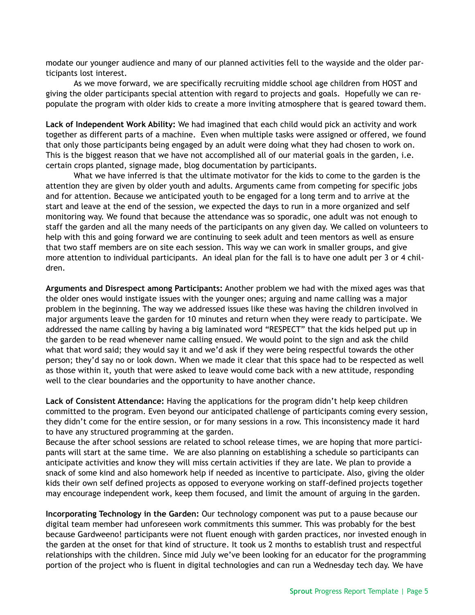modate our younger audience and many of our planned activities fell to the wayside and the older participants lost interest.

 As we move forward, we are specifically recruiting middle school age children from HOST and giving the older participants special attention with regard to projects and goals. Hopefully we can repopulate the program with older kids to create a more inviting atmosphere that is geared toward them.

**Lack of Independent Work Ability:** We had imagined that each child would pick an activity and work together as different parts of a machine. Even when multiple tasks were assigned or offered, we found that only those participants being engaged by an adult were doing what they had chosen to work on. This is the biggest reason that we have not accomplished all of our material goals in the garden, i.e. certain crops planted, signage made, blog documentation by participants.

 What we have inferred is that the ultimate motivator for the kids to come to the garden is the attention they are given by older youth and adults. Arguments came from competing for specific jobs and for attention. Because we anticipated youth to be engaged for a long term and to arrive at the start and leave at the end of the session, we expected the days to run in a more organized and self monitoring way. We found that because the attendance was so sporadic, one adult was not enough to staff the garden and all the many needs of the participants on any given day. We called on volunteers to help with this and going forward we are continuing to seek adult and teen mentors as well as ensure that two staff members are on site each session. This way we can work in smaller groups, and give more attention to individual participants. An ideal plan for the fall is to have one adult per 3 or 4 children.

**Arguments and Disrespect among Participants:** Another problem we had with the mixed ages was that the older ones would instigate issues with the younger ones; arguing and name calling was a major problem in the beginning. The way we addressed issues like these was having the children involved in major arguments leave the garden for 10 minutes and return when they were ready to participate. We addressed the name calling by having a big laminated word "RESPECT" that the kids helped put up in the garden to be read whenever name calling ensued. We would point to the sign and ask the child what that word said; they would say it and we'd ask if they were being respectful towards the other person; they'd say no or look down. When we made it clear that this space had to be respected as well as those within it, youth that were asked to leave would come back with a new attitude, responding well to the clear boundaries and the opportunity to have another chance.

**Lack of Consistent Attendance:** Having the applications for the program didn't help keep children committed to the program. Even beyond our anticipated challenge of participants coming every session, they didn't come for the entire session, or for many sessions in a row. This inconsistency made it hard to have any structured programming at the garden.

Because the after school sessions are related to school release times, we are hoping that more participants will start at the same time. We are also planning on establishing a schedule so participants can anticipate activities and know they will miss certain activities if they are late. We plan to provide a snack of some kind and also homework help if needed as incentive to participate. Also, giving the older kids their own self defined projects as opposed to everyone working on staff-defined projects together may encourage independent work, keep them focused, and limit the amount of arguing in the garden.

**Incorporating Technology in the Garden:** Our technology component was put to a pause because our digital team member had unforeseen work commitments this summer. This was probably for the best because Gardweeno! participants were not fluent enough with garden practices, nor invested enough in the garden at the onset for that kind of structure. It took us 2 months to establish trust and respectful relationships with the children. Since mid July we've been looking for an educator for the programming portion of the project who is fluent in digital technologies and can run a Wednesday tech day. We have